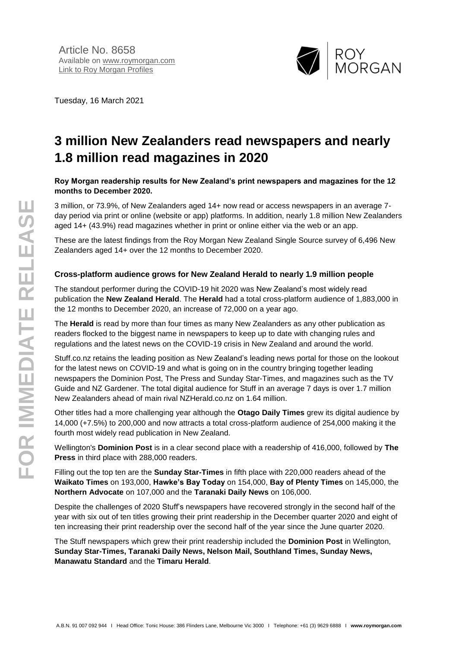

Tuesday, 16 March 2021

# **3 million New Zealanders read newspapers and nearly 1.8 million read magazines in 2020**

#### **Roy Morgan readership results for New Zealand's print newspapers and magazines for the 12 months to December 2020.**

3 million, or 73.9%, of New Zealanders aged 14+ now read or access newspapers in an average 7 day period via print or online (website or app) platforms. In addition, nearly 1.8 million New Zealanders aged 14+ (43.9%) read magazines whether in print or online either via the web or an app.

These are the latest findings from the Roy Morgan New Zealand Single Source survey of 6,496 New Zealanders aged 14+ over the 12 months to December 2020.

#### **Cross-platform audience grows for New Zealand Herald to nearly 1.9 million people**

The standout performer during the COVID-19 hit 2020 was New Zealand's most widely read publication the **New Zealand Herald**. The **Herald** had a total cross-platform audience of 1,883,000 in the 12 months to December 2020, an increase of 72,000 on a year ago.

The **Herald** is read by more than four times as many New Zealanders as any other publication as readers flocked to the biggest name in newspapers to keep up to date with changing rules and regulations and the latest news on the COVID-19 crisis in New Zealand and around the world.

Stuff.co.nz retains the leading position as New Zealand's leading news portal for those on the lookout for the latest news on COVID-19 and what is going on in the country bringing together leading newspapers the Dominion Post, The Press and Sunday Star-Times, and magazines such as the TV Guide and NZ Gardener. The total digital audience for Stuff in an average 7 days is over 1.7 million New Zealanders ahead of main rival NZHerald.co.nz on 1.64 million.

Other titles had a more challenging year although the **Otago Daily Times** grew its digital audience by 14,000 (+7.5%) to 200,000 and now attracts a total cross-platform audience of 254,000 making it the fourth most widely read publication in New Zealand.

Wellington's **Dominion Post** is in a clear second place with a readership of 416,000, followed by **The Press** in third place with 288,000 readers.

Filling out the top ten are the **Sunday Star-Times** in fifth place with 220,000 readers ahead of the **Waikato Times** on 193,000, **Hawke's Bay Today** on 154,000, **Bay of Plenty Times** on 145,000, the **Northern Advocate** on 107,000 and the **Taranaki Daily News** on 106,000.

Despite the challenges of 2020 Stuff's newspapers have recovered strongly in the second half of the year with six out of ten titles growing their print readership in the December quarter 2020 and eight of ten increasing their print readership over the second half of the year since the June quarter 2020.

The Stuff newspapers which grew their print readership included the **Dominion Post** in Wellington, **Sunday Star-Times, Taranaki Daily News, Nelson Mail, Southland Times, Sunday News, Manawatu Standard** and the **Timaru Herald**.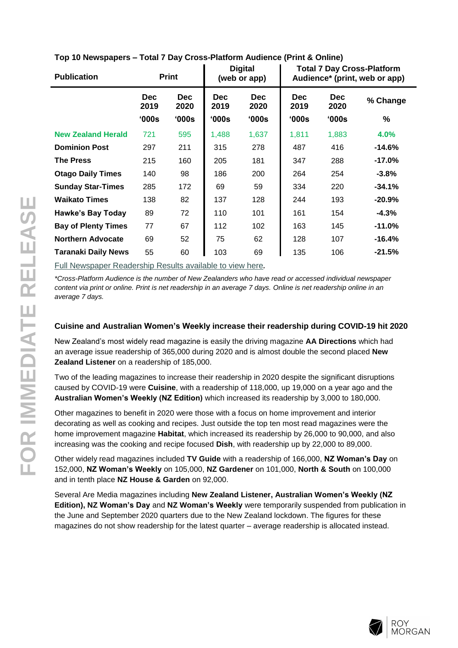| <b>Publication</b>         | <b>Print</b>       |                    |                    | <b>Digital</b><br>(web or app) | <b>Total 7 Day Cross-Platform</b><br>Audience* (print, web or app) |                    |          |
|----------------------------|--------------------|--------------------|--------------------|--------------------------------|--------------------------------------------------------------------|--------------------|----------|
|                            | <b>Dec</b><br>2019 | <b>Dec</b><br>2020 | <b>Dec</b><br>2019 | <b>Dec</b><br>2020             | <b>Dec</b><br>2019                                                 | <b>Dec</b><br>2020 | % Change |
|                            | '000s              | '000s              | '000s              | 000s                           | '000s                                                              | 000s               | %        |
| <b>New Zealand Herald</b>  | 721                | 595                | 1,488              | 1,637                          | 1,811                                                              | 1,883              | 4.0%     |
| <b>Dominion Post</b>       | 297                | 211                | 315                | 278                            | 487                                                                | 416                | $-14.6%$ |
| The Press                  | 215                | 160                | 205                | 181                            | 347                                                                | 288                | $-17.0%$ |
| <b>Otago Daily Times</b>   | 140                | 98                 | 186                | 200                            | 264                                                                | 254                | $-3.8%$  |
| <b>Sunday Star-Times</b>   | 285                | 172                | 69                 | 59                             | 334                                                                | 220                | $-34.1%$ |
| <b>Waikato Times</b>       | 138                | 82                 | 137                | 128                            | 244                                                                | 193                | $-20.9%$ |
| <b>Hawke's Bay Today</b>   | 89                 | 72                 | 110                | 101                            | 161                                                                | 154                | $-4.3%$  |
| <b>Bay of Plenty Times</b> | 77                 | 67                 | 112                | 102                            | 163                                                                | 145                | $-11.0%$ |
| <b>Northern Advocate</b>   | 69                 | 52                 | 75                 | 62                             | 128                                                                | 107                | $-16.4%$ |
| <b>Taranaki Daily News</b> | 55                 | 60                 | 103                | 69                             | 135                                                                | 106                | $-21.5%$ |

#### **Top 10 Newspapers – Total 7 Day Cross-Platform Audience (Print & Online)**

[Full Newspaper Readership Results available to view here](http://www.roymorgan.com/industries/media/readership/readership-new-zealand)*.*

*\*Cross-Platform Audience is the number of New Zealanders who have read or accessed individual newspaper content via print or online. Print is net readership in an average 7 days. Online is net readership online in an average 7 days.*

#### **Cuisine and Australian Women's Weekly increase their readership during COVID-19 hit 2020**

New Zealand's most widely read magazine is easily the driving magazine **AA Directions** which had an average issue readership of 365,000 during 2020 and is almost double the second placed **New Zealand Listener** on a readership of 185,000.

Two of the leading magazines to increase their readership in 2020 despite the significant disruptions caused by COVID-19 were **Cuisine**, with a readership of 118,000, up 19,000 on a year ago and the **Australian Women's Weekly (NZ Edition)** which increased its readership by 3,000 to 180,000.

Other magazines to benefit in 2020 were those with a focus on home improvement and interior decorating as well as cooking and recipes. Just outside the top ten most read magazines were the home improvement magazine **Habitat**, which increased its readership by 26,000 to 90,000, and also increasing was the cooking and recipe focused **Dish**, with readership up by 22,000 to 89,000.

Other widely read magazines included **TV Guide** with a readership of 166,000, **NZ Woman's Day** on 152,000, **NZ Woman's Weekly** on 105,000, **NZ Gardener** on 101,000, **North & South** on 100,000 and in tenth place **NZ House & Garden** on 92,000.

Several Are Media magazines including **New Zealand Listener, Australian Women's Weekly (NZ Edition), NZ Woman's Day** and **NZ Woman's Weekly** were temporarily suspended from publication in the June and September 2020 quarters due to the New Zealand lockdown. The figures for these magazines do not show readership for the latest quarter – average readership is allocated instead.

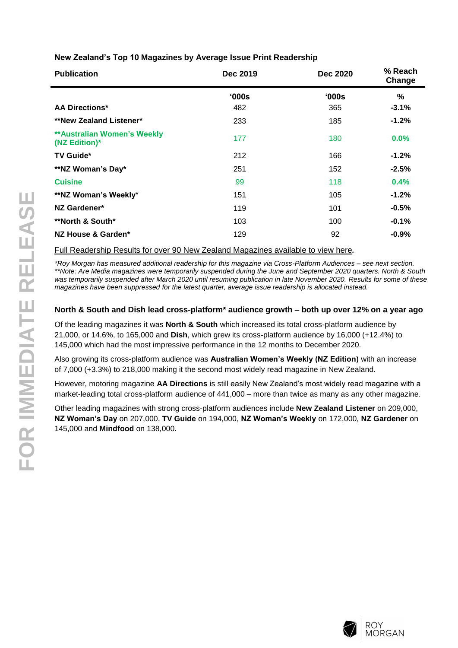**New Zealand's Top 10 Magazines by Average Issue Print Readership**

| <b>Publication</b>                                  | Dec 2019 | <b>Dec 2020</b> | % Reach<br>Change |
|-----------------------------------------------------|----------|-----------------|-------------------|
|                                                     | '000s    | '000s           | %                 |
| <b>AA Directions*</b>                               | 482      | 365             | $-3.1%$           |
| <b>**New Zealand Listener*</b>                      | 233      | 185             | $-1.2%$           |
| <b>**Australian Women's Weekly</b><br>(NZ Edition)* | 177      | 180             | $0.0\%$           |
| <b>TV Guide*</b>                                    | 212      | 166             | $-1.2%$           |
| **NZ Woman's Day*                                   | 251      | 152             | $-2.5%$           |
| <b>Cuisine</b>                                      | 99       | 118             | 0.4%              |
| **NZ Woman's Weekly*                                | 151      | 105             | $-1.2%$           |
| NZ Gardener*                                        | 119      | 101             | $-0.5%$           |
| **North & South*                                    | 103      | 100             | $-0.1%$           |
| NZ House & Garden*                                  | 129      | 92              | $-0.9\%$          |

[Full Readership Results for over 90 New Zealand Magazines available to view here](http://www.roymorgan.com/industries/media/readership/readership-new-zealand)*.*

*\*Roy Morgan has measured additional readership for this magazine via Cross-Platform Audiences – see next section. \*\*Note: Are Media magazines were temporarily suspended during the June and September 2020 quarters. North & South was temporarily suspended after March 2020 until resuming publication in late November 2020. Results for some of these magazines have been suppressed for the latest quarter, average issue readership is allocated instead.*

## **North & South and Dish lead cross-platform\* audience growth – both up over 12% on a year ago**

Of the leading magazines it was **North & South** which increased its total cross-platform audience by 21,000, or 14.6%, to 165,000 and **Dish**, which grew its cross-platform audience by 16,000 (+12.4%) to 145,000 which had the most impressive performance in the 12 months to December 2020.

Also growing its cross-platform audience was **Australian Women's Weekly (NZ Edition)** with an increase of 7,000 (+3.3%) to 218,000 making it the second most widely read magazine in New Zealand.

However, motoring magazine **AA Directions** is still easily New Zealand's most widely read magazine with a market-leading total cross-platform audience of 441,000 – more than twice as many as any other magazine.

Other leading magazines with strong cross-platform audiences include **New Zealand Listener** on 209,000, **NZ Woman's Day** on 207,000, **TV Guide** on 194,000, **NZ Woman's Weekly** on 172,000, **NZ Gardener** on 145,000 and **Mindfood** on 138,000.

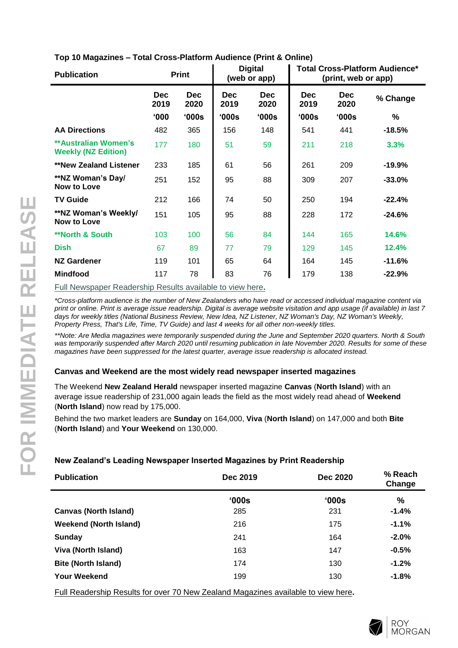| Top 10 Magazines – Total Cross-Platform Audience (Print & Online) |  |  |  |
|-------------------------------------------------------------------|--|--|--|
|-------------------------------------------------------------------|--|--|--|

| <b>Publication</b>                                        | <b>Print</b>       |                    | <b>Digital</b><br>(web or app) |                    | <b>Total Cross-Platform Audience*</b><br>(print, web or app) |                    |          |
|-----------------------------------------------------------|--------------------|--------------------|--------------------------------|--------------------|--------------------------------------------------------------|--------------------|----------|
|                                                           | <b>Dec</b><br>2019 | <b>Dec</b><br>2020 | <b>Dec</b><br>2019             | <b>Dec</b><br>2020 | <b>Dec</b><br>2019                                           | <b>Dec</b><br>2020 | % Change |
|                                                           | 000'               | '000s              | '000s                          | '000s              | '000s                                                        | '000s              | ℅        |
| <b>AA Directions</b>                                      | 482                | 365                | 156                            | 148                | 541                                                          | 441                | $-18.5%$ |
| <b>**Australian Women's</b><br><b>Weekly (NZ Edition)</b> | 177                | 180                | 51                             | 59                 | 211                                                          | 218                | 3.3%     |
| <b>**New Zealand Listener</b>                             | 233                | 185                | 61                             | 56                 | 261                                                          | 209                | $-19.9%$ |
| **NZ Woman's Day/<br>Now to Love                          | 251                | 152                | 95                             | 88                 | 309                                                          | 207                | $-33.0%$ |
| <b>TV Guide</b>                                           | 212                | 166                | 74                             | 50                 | 250                                                          | 194                | $-22.4%$ |
| **NZ Woman's Weekly/<br>Now to Love                       | 151                | 105                | 95                             | 88                 | 228                                                          | 172                | $-24.6%$ |
| <b>**North &amp; South</b>                                | 103                | 100                | 56                             | 84                 | 144                                                          | 165                | 14.6%    |
| <b>Dish</b>                                               | 67                 | 89                 | 77                             | 79                 | 129                                                          | 145                | 12.4%    |
| <b>NZ Gardener</b>                                        | 119                | 101                | 65                             | 64                 | 164                                                          | 145                | $-11.6%$ |
| <b>Mindfood</b>                                           | 117                | 78                 | 83                             | 76                 | 179                                                          | 138                | $-22.9%$ |

[Full Newspaper Readership Results available to view here](http://www.roymorgan.com/industries/media/readership/readership-new-zealand) **.**

*\*Cross -platform audience is the number of New Zealanders who have read or accessed individual magazine content via print or online. Print is average issue readership. Digital is average website visitation and app usage (if available) in last 7 days for weekly titles (National Business Review, New Idea, NZ Listener, NZ Woman's Day, NZ Woman's Weekly, Property Press, That's Life, Time, TV Guide) and last 4 weeks for all other non -weekly titles.*

*\*\*Note: Are Media magazines were temporarily suspended during the June and September 2020 quarters. North & South was temporarily suspended after March 2020 until resuming publication in late November 2020. Results for some of these magazines have been suppressed for the latest quarter, average issue readership is allocated instead.*

## **Canvas and Weekend are the most widely read newspaper inserted magazine s**

The Weekend **New Zealand Herald** newspaper inserted magazine **Canvas**  (**North Island**) with an average issue readership of 231,000 again leads the field as the most widely read ahead of **Weekend** (**North Island**) now read by 175,000.

Behind the two market leaders are **Sunday** on 164,000, **Viva** ( **North Island**) on 1 47,000 and both **Bite**  (**No rth Island** ) and **Y o u r Weekend** on 130,000.

## **New Zealand's Leading Newspaper Inserted Magazines by Print Readership**

| <b>Publication</b><br><b>Dec 2020</b><br>Dec 2019 | % Reach<br>Change |
|---------------------------------------------------|-------------------|
| '000s<br>'000s                                    | $\frac{0}{0}$     |
| <b>Canvas (North Island)</b><br>285<br>231        | $-1.4%$           |
| <b>Weekend (North Island)</b><br>216<br>175       | $-1.1%$           |
| Sunday<br>241<br>164                              | $-2.0\%$          |
| Viva (North Island)<br>163<br>147                 | $-0.5%$           |
| <b>Bite (North Island)</b><br>174<br>130          | $-1.2\%$          |
| <b>Your Weekend</b><br>199<br>130                 | $-1.8%$           |

Full Readership Results for over [70 New Zealand Magazines available to view here](http://www.roymorgan.com/industries/media/readership/readership-new-zealand) **.**